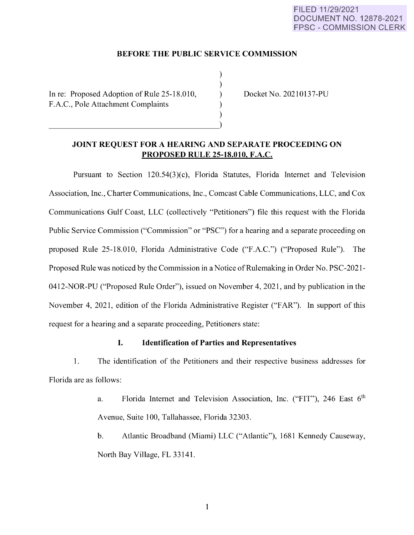## **BEFORE THE PUBLIC SERVICE COMMISSION**

) ) ) ) )

In re: Proposed Adoption of Rule 25-18.010, F.A.C., Pole Attachment Complaints

Docket No. 20210137-PU

## **JOINT REQUEST FOR A HEARING AND SEPARATE PROCEEDING ON PROPOSED RULE 25-18.010, F.A.C.**

Pursuant to Section 120.54(3)(c), Florida Statutes, Florida Internet and Television Association, Inc. , Charter Communications, Inc., Comcast Cable Communications, LLC, and Cox Communications Gulf Coast, LLC (collectively "Petitioners") file this request with the Florida Public Service Commission ("Commission" or "PSC") for a hearing and a separate proceeding on proposed Rule 25-18.010, Florida Administrative Code ("F.A.C.") ("Proposed Rule"). The Proposed Rule was noticed by the Commission in a Notice of Rulemaking in Order No. PSC-2021- 0412-NOR-PU ("Proposed Rule Order"), issued on November 4, 2021, and by publication in the November 4, 2021, edition of the Florida Administrative Register ("FAR"). In support of this request for a hearing and a separate proceeding, Petitioners state:

## I. **Identification of Parties and Representatives**

1. The identification of the Petitioners and their respective business addresses for Florida are as follows:

> a. Florida Internet and Television Association, Inc. ("FIT"), 246 East 6<sup>th</sup> Avenue, Suite 100, Tallahassee, Florida 32303.

> b. Atlantic Broadband (Miami) LLC ("Atlantic"), 1681 Kennedy Causeway, North Bay Village, FL 33141.

> > 1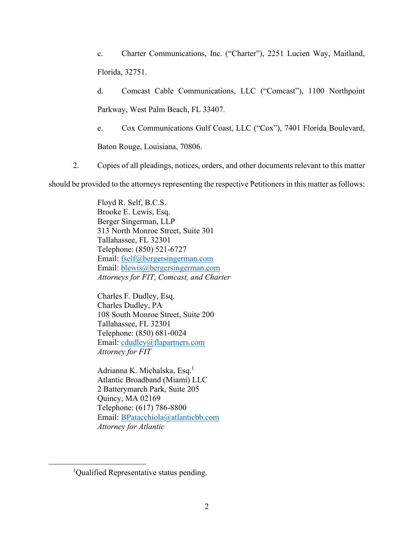c. Charter Communications, Inc. ("Charter"), 2251 Lucien Way, Maitland, Florida, 32751.

d. Comcast Cable Communications, LLC ("Comcast"), 1100 Northpoint Parkway, West Palm Beach, FL 33407.

e. Cox Communications Gulf Coast, LLC ("Cox"), 7401 Florida Boulevard,

Baton Rouge, Louisiana, 70806.

2. Copies of all pleadings, notices, orders, and other documents relevant to this matter

should be provided to the attorneys representing the respective Petitioners in this matter as follows:

Floyd R. Self, B.C.S. Brooke E. Lewis, Esq. Berger Singerman, LLP 313 North Monroe Street, Suite 301 Tallahassee, FL 32301 Telephone: (850) 521-6727 Email: [fself@bergersingerman.com](mailto:fself@bergersingerman.com) Email: [blewis@bergersingerman.com](mailto:blewis@bergersingerman.com) *Attorneys for FIT, Comcast, and Charter*

Charles F. Dudley, Esq. Charles Dudley, PA 108 South Monroe Street, Suite 200 Tallahassee, FL 32301 Telephone: (850) 681-0024 Email: [cdudley@flapartners.com](mailto:cdudley@flapartners.com) *Attorney for FIT*

Adrianna K. Michalska, Esq.<sup>1</sup> Atlantic Broadband (Miami) LLC 2 Batterymarch Park, Suite 205 Quincy, MA 02169 Telephone: (617) 786-8800 Email: [BPatacchiola@atlanticbb.com](mailto:BPatacchiola@atlanticbb.com) *Attorney for Atlantic*

<sup>&</sup>lt;sup>1</sup>Qualified Representative status pending.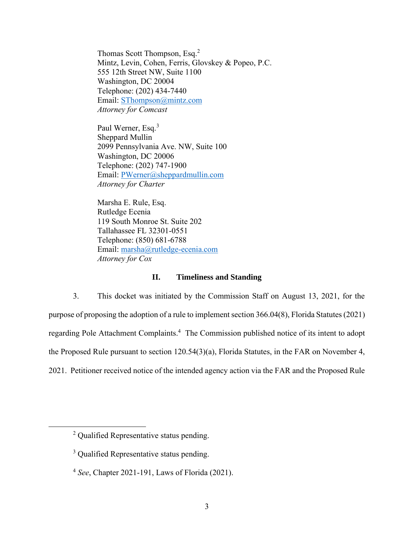Thomas Scott Thompson, Esq.<sup>2</sup> Mintz, Levin, Cohen, Ferris, Glovskey & Popeo, P.C. 555 12th Street NW, Suite 1100 Washington, DC 20004 Telephone: (202) 434-7440 Email: [SThompson@mintz.com](mailto:SThompson@mintz.com) *Attorney for Comcast*

Paul Werner, Esq.<sup>3</sup> Sheppard Mullin 2099 Pennsylvania Ave. NW, Suite 100 Washington, DC 20006 Telephone: (202) 747-1900 Email: [PWerner@sheppardmullin.com](mailto:PWerner@sheppardmullin.com) *Attorney for Charter* 

Marsha E. Rule, Esq. Rutledge Ecenia 119 South Monroe St. Suite 202 Tallahassee FL 32301-0551 Telephone: (850) 681-6788 Email: [marsha@rutledge-ecenia.com](mailto:marsha@rutledge-ecenia.com) *Attorney for Cox*

### **II. Timeliness and Standing**

3. This docket was initiated by the Commission Staff on August 13, 2021, for the purpose of proposing the adoption of a rule to implement section 366.04(8), Florida Statutes (2021) regarding Pole Attachment Complaints.<sup>4</sup> The Commission published notice of its intent to adopt the Proposed Rule pursuant to section 120.54(3)(a), Florida Statutes, in the FAR on November 4, 2021. Petitioner received notice of the intended agency action via the FAR and the Proposed Rule

<sup>&</sup>lt;sup>2</sup> Qualified Representative status pending.

<sup>&</sup>lt;sup>3</sup> Oualified Representative status pending.

<sup>4</sup> *See*, Chapter 2021-191, Laws of Florida (2021).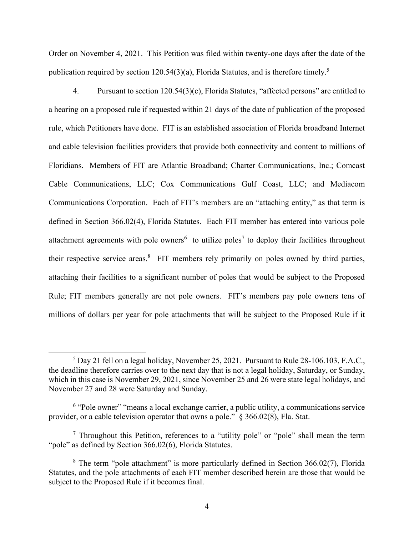Order on November 4, 2021. This Petition was filed within twenty-one days after the date of the publication required by section 120.54(3)(a), Florida Statutes, and is therefore timely.<sup>5</sup>

4. Pursuant to section 120.54(3)(c), Florida Statutes, "affected persons" are entitled to a hearing on a proposed rule if requested within 21 days of the date of publication of the proposed rule, which Petitioners have done. FIT is an established association of Florida broadband Internet and cable television facilities providers that provide both connectivity and content to millions of Floridians. Members of FIT are Atlantic Broadband; Charter Communications, Inc.; Comcast Cable Communications, LLC; Cox Communications Gulf Coast, LLC; and Mediacom Communications Corporation. Each of FIT's members are an "attaching entity," as that term is defined in Section 366.02(4), Florida Statutes. Each FIT member has entered into various pole attachment agreements with pole owners<sup>6</sup> to utilize poles<sup>7</sup> to deploy their facilities throughout their respective service areas.<sup>8</sup> FIT members rely primarily on poles owned by third parties, attaching their facilities to a significant number of poles that would be subject to the Proposed Rule; FIT members generally are not pole owners. FIT's members pay pole owners tens of millions of dollars per year for pole attachments that will be subject to the Proposed Rule if it

<sup>5</sup> Day 21 fell on a legal holiday, November 25, 2021. Pursuant to Rule 28-106.103, F.A.C., the deadline therefore carries over to the next day that is not a legal holiday, Saturday, or Sunday, which in this case is November 29, 2021, since November 25 and 26 were state legal holidays, and November 27 and 28 were Saturday and Sunday.

<sup>&</sup>lt;sup>6</sup> "Pole owner" "means a local exchange carrier, a public utility, a communications service provider, or a cable television operator that owns a pole." § 366.02(8), Fla. Stat.

<sup>&</sup>lt;sup>7</sup> Throughout this Petition, references to a "utility pole" or "pole" shall mean the term "pole" as defined by Section 366.02(6), Florida Statutes.

<sup>&</sup>lt;sup>8</sup> The term "pole attachment" is more particularly defined in Section 366.02(7), Florida Statutes, and the pole attachments of each FIT member described herein are those that would be subject to the Proposed Rule if it becomes final.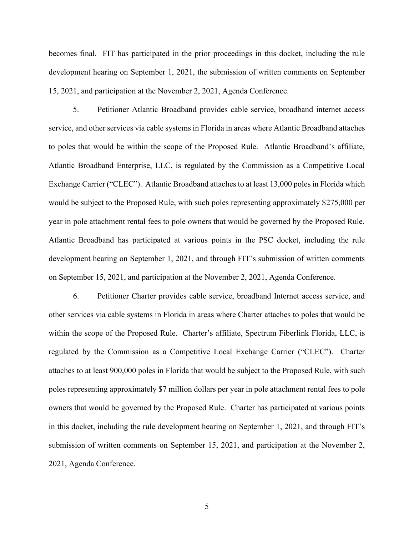becomes final. FIT has participated in the prior proceedings in this docket, including the rule development hearing on September 1, 2021, the submission of written comments on September 15, 2021, and participation at the November 2, 2021, Agenda Conference.

5. Petitioner Atlantic Broadband provides cable service, broadband internet access service, and other services via cable systems in Florida in areas where Atlantic Broadband attaches to poles that would be within the scope of the Proposed Rule. Atlantic Broadband's affiliate, Atlantic Broadband Enterprise, LLC, is regulated by the Commission as a Competitive Local Exchange Carrier ("CLEC"). Atlantic Broadband attaches to at least 13,000 poles in Florida which would be subject to the Proposed Rule, with such poles representing approximately \$275,000 per year in pole attachment rental fees to pole owners that would be governed by the Proposed Rule. Atlantic Broadband has participated at various points in the PSC docket, including the rule development hearing on September 1, 2021, and through FIT's submission of written comments on September 15, 2021, and participation at the November 2, 2021, Agenda Conference.

6. Petitioner Charter provides cable service, broadband Internet access service, and other services via cable systems in Florida in areas where Charter attaches to poles that would be within the scope of the Proposed Rule. Charter's affiliate, Spectrum Fiberlink Florida, LLC, is regulated by the Commission as a Competitive Local Exchange Carrier ("CLEC"). Charter attaches to at least 900,000 poles in Florida that would be subject to the Proposed Rule, with such poles representing approximately \$7 million dollars per year in pole attachment rental fees to pole owners that would be governed by the Proposed Rule. Charter has participated at various points in this docket, including the rule development hearing on September 1, 2021, and through FIT's submission of written comments on September 15, 2021, and participation at the November 2, 2021, Agenda Conference.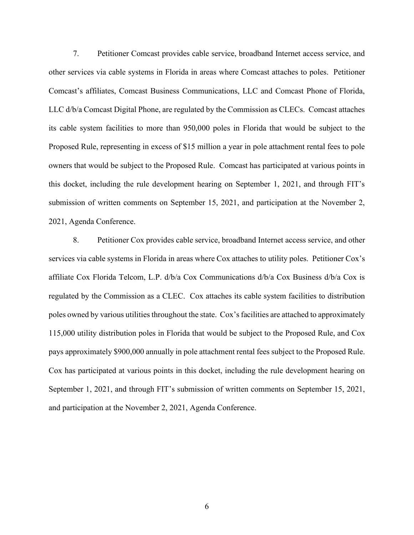7. Petitioner Comcast provides cable service, broadband Internet access service, and other services via cable systems in Florida in areas where Comcast attaches to poles. Petitioner Comcast's affiliates, Comcast Business Communications, LLC and Comcast Phone of Florida, LLC d/b/a Comcast Digital Phone, are regulated by the Commission as CLECs. Comcast attaches its cable system facilities to more than 950,000 poles in Florida that would be subject to the Proposed Rule, representing in excess of \$15 million a year in pole attachment rental fees to pole owners that would be subject to the Proposed Rule. Comcast has participated at various points in this docket, including the rule development hearing on September 1, 2021, and through FIT's submission of written comments on September 15, 2021, and participation at the November 2, 2021, Agenda Conference.

8. Petitioner Cox provides cable service, broadband Internet access service, and other services via cable systems in Florida in areas where Cox attaches to utility poles. Petitioner Cox's affiliate Cox Florida Telcom, L.P. d/b/a Cox Communications d/b/a Cox Business d/b/a Cox is regulated by the Commission as a CLEC. Cox attaches its cable system facilities to distribution poles owned by various utilities throughout the state. Cox's facilities are attached to approximately 115,000 utility distribution poles in Florida that would be subject to the Proposed Rule, and Cox pays approximately \$900,000 annually in pole attachment rental fees subject to the Proposed Rule. Cox has participated at various points in this docket, including the rule development hearing on September 1, 2021, and through FIT's submission of written comments on September 15, 2021, and participation at the November 2, 2021, Agenda Conference.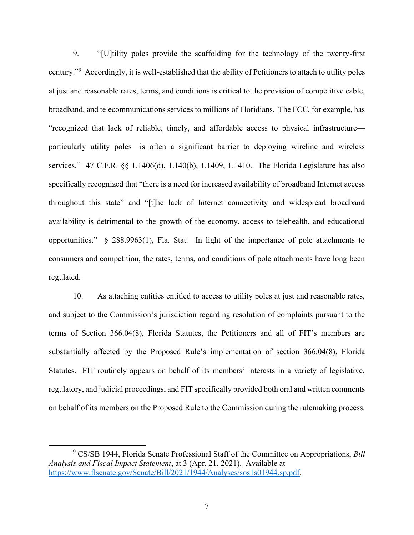9. "[U]tility poles provide the scaffolding for the technology of the twenty-first century."<sup>9</sup> Accordingly, it is well-established that the ability of Petitioners to attach to utility poles at just and reasonable rates, terms, and conditions is critical to the provision of competitive cable, broadband, and telecommunications services to millions of Floridians. The FCC, for example, has "recognized that lack of reliable, timely, and affordable access to physical infrastructure particularly utility poles—is often a significant barrier to deploying wireline and wireless services." 47 C.F.R. §§ 1.1406(d), 1.140(b), 1.1409, 1.1410. The Florida Legislature has also specifically recognized that "there is a need for increased availability of broadband Internet access throughout this state" and "[t]he lack of Internet connectivity and widespread broadband availability is detrimental to the growth of the economy, access to telehealth, and educational opportunities." § 288.9963(1), Fla. Stat. In light of the importance of pole attachments to consumers and competition, the rates, terms, and conditions of pole attachments have long been regulated.

10. As attaching entities entitled to access to utility poles at just and reasonable rates, and subject to the Commission's jurisdiction regarding resolution of complaints pursuant to the terms of Section 366.04(8), Florida Statutes, the Petitioners and all of FIT's members are substantially affected by the Proposed Rule's implementation of section 366.04(8), Florida Statutes. FIT routinely appears on behalf of its members' interests in a variety of legislative, regulatory, and judicial proceedings, and FIT specifically provided both oral and written comments on behalf of its members on the Proposed Rule to the Commission during the rulemaking process.

<sup>9</sup> CS/SB 1944, Florida Senate Professional Staff of the Committee on Appropriations, *Bill Analysis and Fiscal Impact Statement*, at 3 (Apr. 21, 2021). Available at [https://www.flsenate.gov/Senate/Bill/2021/1944/Analyses/sos1s01944.sp.pdf.](https://www.flsenate.gov/Senate/Bill/2021/1944/Analyses/sos1s01944.sp.pdf)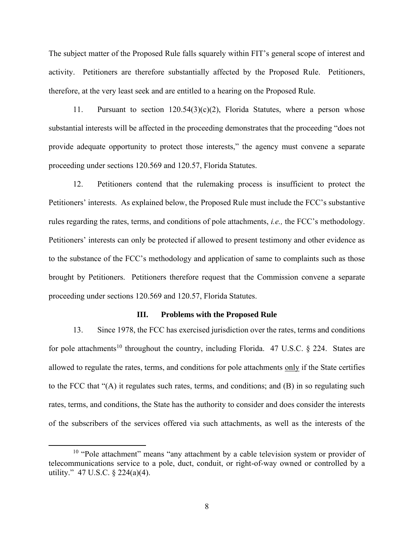The subject matter of the Proposed Rule falls squarely within FIT's general scope of interest and activity. Petitioners are therefore substantially affected by the Proposed Rule. Petitioners, therefore, at the very least seek and are entitled to a hearing on the Proposed Rule.

11. Pursuant to section 120.54(3)(c)(2), Florida Statutes, where a person whose substantial interests will be affected in the proceeding demonstrates that the proceeding "does not provide adequate opportunity to protect those interests," the agency must convene a separate proceeding under sections 120.569 and 120.57, Florida Statutes.

12. Petitioners contend that the rulemaking process is insufficient to protect the Petitioners' interests. As explained below, the Proposed Rule must include the FCC's substantive rules regarding the rates, terms, and conditions of pole attachments, *i.e.,* the FCC's methodology. Petitioners' interests can only be protected if allowed to present testimony and other evidence as to the substance of the FCC's methodology and application of same to complaints such as those brought by Petitioners. Petitioners therefore request that the Commission convene a separate proceeding under sections 120.569 and 120.57, Florida Statutes.

#### **III. Problems with the Proposed Rule**

13. Since 1978, the FCC has exercised jurisdiction over the rates, terms and conditions for pole attachments<sup>10</sup> throughout the country, including Florida. 47 U.S.C. § 224. States are allowed to regulate the rates, terms, and conditions for pole attachments only if the State certifies to the FCC that "(A) it regulates such rates, terms, and conditions; and (B) in so regulating such rates, terms, and conditions, the State has the authority to consider and does consider the interests of the subscribers of the services offered via such attachments, as well as the interests of the

<sup>&</sup>lt;sup>10</sup> "Pole attachment" means "any attachment by a cable television system or provider of telecommunications service to a pole, duct, conduit, or right-of-way owned or controlled by a utility." 47 U.S.C. § 224(a)(4).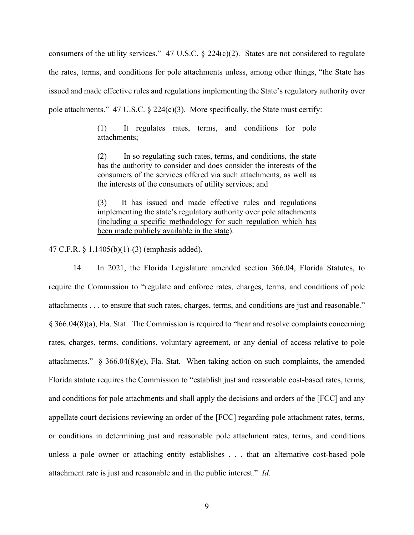consumers of the utility services." 47 U.S.C.  $\S 224(c)(2)$ . States are not considered to regulate the rates, terms, and conditions for pole attachments unless, among other things, "the State has issued and made effective rules and regulations implementing the State's regulatory authority over pole attachments." 47 U.S.C.  $\S$  224(c)(3). More specifically, the State must certify:

> (1) It regulates rates, terms, and conditions for pole attachments;

> (2) In so regulating such rates, terms, and conditions, the state has the authority to consider and does consider the interests of the consumers of the services offered via such attachments, as well as the interests of the consumers of utility services; and

> (3) It has issued and made effective rules and regulations implementing the state's regulatory authority over pole attachments (including a specific methodology for such regulation which has been made publicly available in the state).

47 C.F.R. § 1.1405(b)(1)-(3) (emphasis added).

14. In 2021, the Florida Legislature amended section 366.04, Florida Statutes, to require the Commission to "regulate and enforce rates, charges, terms, and conditions of pole attachments . . . to ensure that such rates, charges, terms, and conditions are just and reasonable." § 366.04(8)(a), Fla. Stat. The Commission is required to "hear and resolve complaints concerning rates, charges, terms, conditions, voluntary agreement, or any denial of access relative to pole attachments." § 366.04(8)(e), Fla. Stat. When taking action on such complaints, the amended Florida statute requires the Commission to "establish just and reasonable cost-based rates, terms, and conditions for pole attachments and shall apply the decisions and orders of the [FCC] and any appellate court decisions reviewing an order of the [FCC] regarding pole attachment rates, terms, or conditions in determining just and reasonable pole attachment rates, terms, and conditions unless a pole owner or attaching entity establishes . . . that an alternative cost-based pole attachment rate is just and reasonable and in the public interest." *Id.*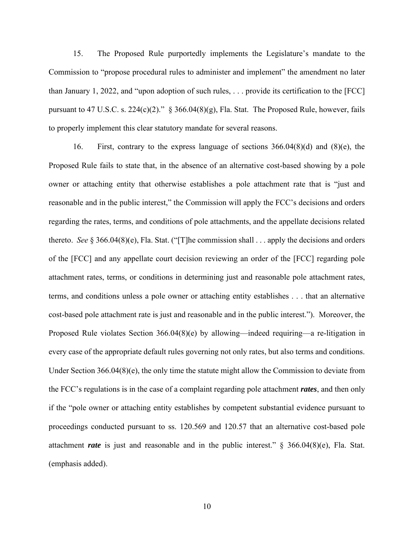15. The Proposed Rule purportedly implements the Legislature's mandate to the Commission to "propose procedural rules to administer and implement" the amendment no later than January 1, 2022, and "upon adoption of such rules, . . . provide its certification to the [FCC] pursuant to 47 U.S.C. s. 224(c)(2)." § 366.04(8)(g), Fla. Stat. The Proposed Rule, however, fails to properly implement this clear statutory mandate for several reasons.

16. First, contrary to the express language of sections 366.04(8)(d) and (8)(e), the Proposed Rule fails to state that, in the absence of an alternative cost-based showing by a pole owner or attaching entity that otherwise establishes a pole attachment rate that is "just and reasonable and in the public interest," the Commission will apply the FCC's decisions and orders regarding the rates, terms, and conditions of pole attachments, and the appellate decisions related thereto. *See* § 366.04(8)(e), Fla. Stat. ("[T]he commission shall . . . apply the decisions and orders of the [FCC] and any appellate court decision reviewing an order of the [FCC] regarding pole attachment rates, terms, or conditions in determining just and reasonable pole attachment rates, terms, and conditions unless a pole owner or attaching entity establishes . . . that an alternative cost-based pole attachment rate is just and reasonable and in the public interest."). Moreover, the Proposed Rule violates Section 366.04(8)(e) by allowing—indeed requiring—a re-litigation in every case of the appropriate default rules governing not only rates, but also terms and conditions. Under Section 366.04(8)(e), the only time the statute might allow the Commission to deviate from the FCC's regulations is in the case of a complaint regarding pole attachment *rates*, and then only if the "pole owner or attaching entity establishes by competent substantial evidence pursuant to proceedings conducted pursuant to ss. 120.569 and 120.57 that an alternative cost-based pole attachment *rate* is just and reasonable and in the public interest." § 366.04(8)(e), Fla. Stat. (emphasis added).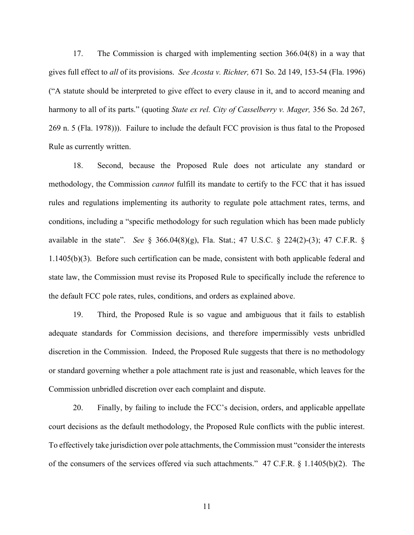17. The Commission is charged with implementing section 366.04(8) in a way that gives full effect to *all* of its provisions. *See Acosta v. Richter,* 671 So. 2d 149, 153-54 (Fla. 1996) ("A statute should be interpreted to give effect to every clause in it, and to accord meaning and harmony to all of its parts." (quoting *State ex rel. City of Casselberry v. Mager,* 356 So. 2d 267, 269 n. 5 (Fla. 1978))). Failure to include the default FCC provision is thus fatal to the Proposed Rule as currently written.

18. Second, because the Proposed Rule does not articulate any standard or methodology, the Commission *cannot* fulfill its mandate to certify to the FCC that it has issued rules and regulations implementing its authority to regulate pole attachment rates, terms, and conditions, including a "specific methodology for such regulation which has been made publicly available in the state". *See* § 366.04(8)(g), Fla. Stat.; 47 U.S.C. § 224(2)-(3); 47 C.F.R. § 1.1405(b)(3). Before such certification can be made, consistent with both applicable federal and state law, the Commission must revise its Proposed Rule to specifically include the reference to the default FCC pole rates, rules, conditions, and orders as explained above.

19. Third, the Proposed Rule is so vague and ambiguous that it fails to establish adequate standards for Commission decisions, and therefore impermissibly vests unbridled discretion in the Commission. Indeed, the Proposed Rule suggests that there is no methodology or standard governing whether a pole attachment rate is just and reasonable, which leaves for the Commission unbridled discretion over each complaint and dispute.

20. Finally, by failing to include the FCC's decision, orders, and applicable appellate court decisions as the default methodology, the Proposed Rule conflicts with the public interest. To effectively take jurisdiction over pole attachments, the Commission must "consider the interests of the consumers of the services offered via such attachments." 47 C.F.R. § 1.1405(b)(2). The

11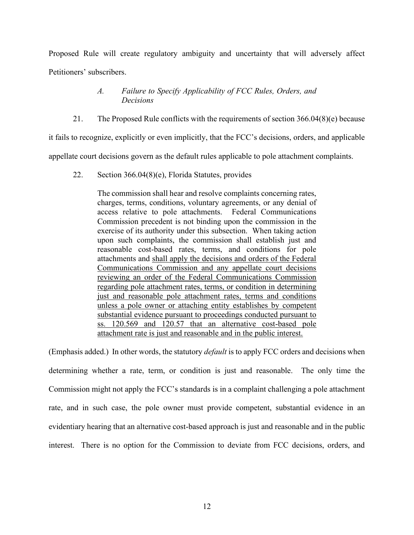Proposed Rule will create regulatory ambiguity and uncertainty that will adversely affect Petitioners' subscribers.

## *A. Failure to Specify Applicability of FCC Rules, Orders, and Decisions*

21. The Proposed Rule conflicts with the requirements of section 366.04(8)(e) because

it fails to recognize, explicitly or even implicitly, that the FCC's decisions, orders, and applicable

appellate court decisions govern as the default rules applicable to pole attachment complaints.

22. Section 366.04(8)(e), Florida Statutes, provides

The commission shall hear and resolve complaints concerning rates, charges, terms, conditions, voluntary agreements, or any denial of access relative to pole attachments. Federal Communications Commission precedent is not binding upon the commission in the exercise of its authority under this subsection. When taking action upon such complaints, the commission shall establish just and reasonable cost-based rates, terms, and conditions for pole attachments and shall apply the decisions and orders of the Federal Communications Commission and any appellate court decisions reviewing an order of the Federal Communications Commission regarding pole attachment rates, terms, or condition in determining just and reasonable pole attachment rates, terms and conditions unless a pole owner or attaching entity establishes by competent substantial evidence pursuant to proceedings conducted pursuant to ss. 120.569 and 120.57 that an alternative cost-based pole attachment rate is just and reasonable and in the public interest.

(Emphasis added.) In other words, the statutory *default* is to apply FCC orders and decisions when determining whether a rate, term, or condition is just and reasonable. The only time the Commission might not apply the FCC's standards is in a complaint challenging a pole attachment rate, and in such case, the pole owner must provide competent, substantial evidence in an evidentiary hearing that an alternative cost-based approach is just and reasonable and in the public interest. There is no option for the Commission to deviate from FCC decisions, orders, and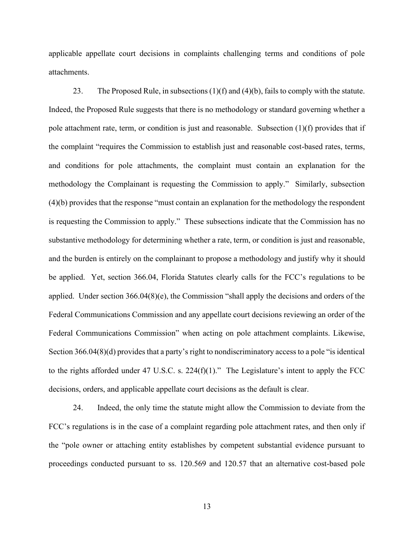applicable appellate court decisions in complaints challenging terms and conditions of pole attachments.

23. The Proposed Rule, in subsections  $(1)(f)$  and  $(4)(b)$ , fails to comply with the statute. Indeed, the Proposed Rule suggests that there is no methodology or standard governing whether a pole attachment rate, term, or condition is just and reasonable. Subsection  $(1)(f)$  provides that if the complaint "requires the Commission to establish just and reasonable cost-based rates, terms, and conditions for pole attachments, the complaint must contain an explanation for the methodology the Complainant is requesting the Commission to apply." Similarly, subsection (4)(b) provides that the response "must contain an explanation for the methodology the respondent is requesting the Commission to apply." These subsections indicate that the Commission has no substantive methodology for determining whether a rate, term, or condition is just and reasonable, and the burden is entirely on the complainant to propose a methodology and justify why it should be applied. Yet, section 366.04, Florida Statutes clearly calls for the FCC's regulations to be applied. Under section 366.04(8)(e), the Commission "shall apply the decisions and orders of the Federal Communications Commission and any appellate court decisions reviewing an order of the Federal Communications Commission" when acting on pole attachment complaints. Likewise, Section 366.04(8)(d) provides that a party's right to nondiscriminatory access to a pole "is identical to the rights afforded under 47 U.S.C. s.  $224(f)(1)$ ." The Legislature's intent to apply the FCC decisions, orders, and applicable appellate court decisions as the default is clear.

24. Indeed, the only time the statute might allow the Commission to deviate from the FCC's regulations is in the case of a complaint regarding pole attachment rates, and then only if the "pole owner or attaching entity establishes by competent substantial evidence pursuant to proceedings conducted pursuant to ss. 120.569 and 120.57 that an alternative cost-based pole

13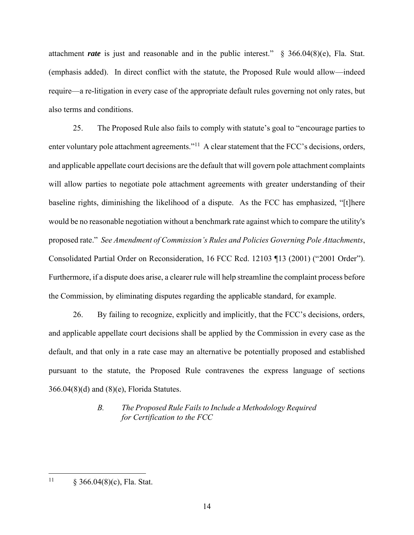attachment *rate* is just and reasonable and in the public interest." § 366.04(8)(e), Fla. Stat. (emphasis added). In direct conflict with the statute, the Proposed Rule would allow—indeed require—a re-litigation in every case of the appropriate default rules governing not only rates, but also terms and conditions.

25. The Proposed Rule also fails to comply with statute's goal to "encourage parties to enter voluntary pole attachment agreements."<sup>11</sup> A clear statement that the FCC's decisions, orders, and applicable appellate court decisions are the default that will govern pole attachment complaints will allow parties to negotiate pole attachment agreements with greater understanding of their baseline rights, diminishing the likelihood of a dispute. As the FCC has emphasized, "[t]here would be no reasonable negotiation without a benchmark rate against which to compare the utility's proposed rate." *See Amendment of Commission's Rules and Policies Governing Pole Attachments*, Consolidated Partial Order on Reconsideration, 16 FCC Rcd. 12103 ¶13 (2001) ("2001 Order"). Furthermore, if a dispute does arise, a clearer rule will help streamline the complaint process before the Commission, by eliminating disputes regarding the applicable standard, for example.

26. By failing to recognize, explicitly and implicitly, that the FCC's decisions, orders, and applicable appellate court decisions shall be applied by the Commission in every case as the default, and that only in a rate case may an alternative be potentially proposed and established pursuant to the statute, the Proposed Rule contravenes the express language of sections 366.04(8)(d) and (8)(e), Florida Statutes.

# *B. The Proposed Rule Fails to Include a Methodology Required for Certification to the FCC*

<sup>&</sup>lt;sup>11</sup> § 366.04(8)(c), Fla. Stat.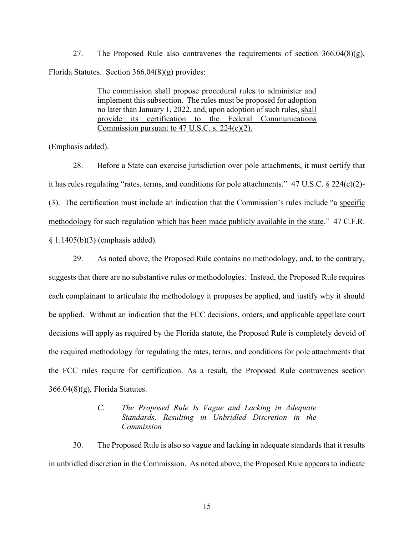27. The Proposed Rule also contravenes the requirements of section  $366.04(8)(g)$ , Florida Statutes. Section 366.04(8)(g) provides:

> The commission shall propose procedural rules to administer and implement this subsection. The rules must be proposed for adoption no later than January 1, 2022, and, upon adoption of such rules, shall provide its certification to the Federal Communications Commission pursuant to 47 U.S.C. s. 224(c)(2).

(Emphasis added).

28. Before a State can exercise jurisdiction over pole attachments, it must certify that it has rules regulating "rates, terms, and conditions for pole attachments." 47 U.S.C. § 224(c)(2)- (3). The certification must include an indication that the Commission's rules include "a specific methodology for such regulation which has been made publicly available in the state." 47 C.F.R. § 1.1405(b)(3) (emphasis added).

29. As noted above, the Proposed Rule contains no methodology, and, to the contrary, suggests that there are no substantive rules or methodologies. Instead, the Proposed Rule requires each complainant to articulate the methodology it proposes be applied, and justify why it should be applied. Without an indication that the FCC decisions, orders, and applicable appellate court decisions will apply as required by the Florida statute, the Proposed Rule is completely devoid of the required methodology for regulating the rates, terms, and conditions for pole attachments that the FCC rules require for certification. As a result, the Proposed Rule contravenes section  $366.04(8)(g)$ , Florida Statutes.

## *C. The Proposed Rule Is Vague and Lacking in Adequate Standards, Resulting in Unbridled Discretion in the Commission*

30. The Proposed Rule is also so vague and lacking in adequate standards that it results in unbridled discretion in the Commission. As noted above, the Proposed Rule appears to indicate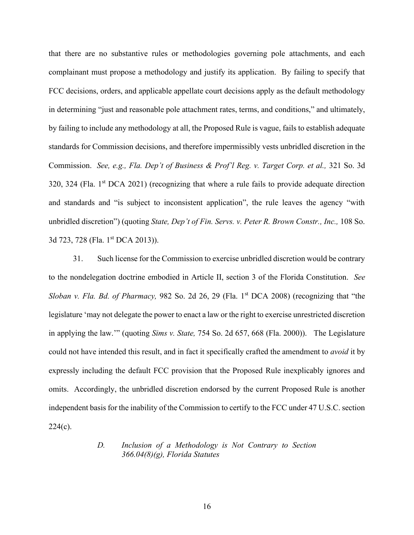that there are no substantive rules or methodologies governing pole attachments, and each complainant must propose a methodology and justify its application. By failing to specify that FCC decisions, orders, and applicable appellate court decisions apply as the default methodology in determining "just and reasonable pole attachment rates, terms, and conditions," and ultimately, by failing to include any methodology at all, the Proposed Rule is vague, fails to establish adequate standards for Commission decisions, and therefore impermissibly vests unbridled discretion in the Commission. *See, e.g., Fla. Dep't of Business & Prof'l Reg. v. Target Corp. et al.,* 321 So. 3d 320, 324 (Fla. 1st DCA 2021) (recognizing that where a rule fails to provide adequate direction and standards and "is subject to inconsistent application", the rule leaves the agency "with unbridled discretion") (quoting *State, Dep't of Fin. Servs. v. Peter R. Brown Constr., Inc.,* 108 So. 3d 723, 728 (Fla. 1<sup>st</sup> DCA 2013)).

31. Such license for the Commission to exercise unbridled discretion would be contrary to the nondelegation doctrine embodied in Article II, section 3 of the Florida Constitution. *See Sloban v. Fla. Bd. of Pharmacy,* 982 So. 2d 26, 29 (Fla. 1<sup>st</sup> DCA 2008) (recognizing that "the legislature 'may not delegate the power to enact a law or the right to exercise unrestricted discretion in applying the law.'" (quoting *Sims v. State,* 754 So. 2d 657, 668 (Fla. 2000)). The Legislature could not have intended this result, and in fact it specifically crafted the amendment to *avoid* it by expressly including the default FCC provision that the Proposed Rule inexplicably ignores and omits. Accordingly, the unbridled discretion endorsed by the current Proposed Rule is another independent basis for the inability of the Commission to certify to the FCC under 47 U.S.C. section  $224(c)$ .

### *D. Inclusion of a Methodology is Not Contrary to Section 366.04(8)(g), Florida Statutes*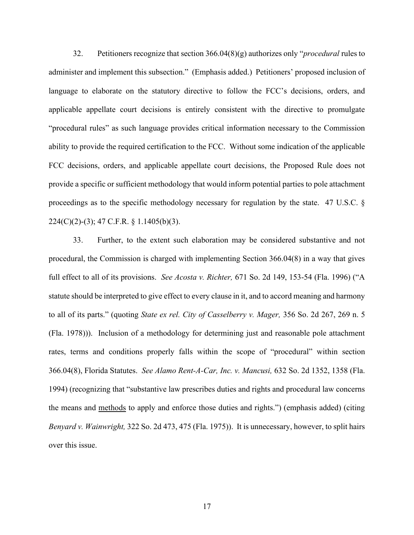32. Petitioners recognize that section 366.04(8)(g) authorizes only "*procedural* rules to administer and implement this subsection." (Emphasis added.) Petitioners' proposed inclusion of language to elaborate on the statutory directive to follow the FCC's decisions, orders, and applicable appellate court decisions is entirely consistent with the directive to promulgate "procedural rules" as such language provides critical information necessary to the Commission ability to provide the required certification to the FCC. Without some indication of the applicable FCC decisions, orders, and applicable appellate court decisions, the Proposed Rule does not provide a specific or sufficient methodology that would inform potential parties to pole attachment proceedings as to the specific methodology necessary for regulation by the state. 47 U.S.C. § 224(C)(2)-(3); 47 C.F.R. § 1.1405(b)(3).

33. Further, to the extent such elaboration may be considered substantive and not procedural, the Commission is charged with implementing Section 366.04(8) in a way that gives full effect to all of its provisions. *See Acosta v. Richter,* 671 So. 2d 149, 153-54 (Fla. 1996) ("A statute should be interpreted to give effect to every clause in it, and to accord meaning and harmony to all of its parts." (quoting *State ex rel. City of Casselberry v. Mager,* 356 So. 2d 267, 269 n. 5 (Fla. 1978))). Inclusion of a methodology for determining just and reasonable pole attachment rates, terms and conditions properly falls within the scope of "procedural" within section 366.04(8), Florida Statutes. *See Alamo Rent-A-Car, Inc. v. Mancusi,* 632 So. 2d 1352, 1358 (Fla. 1994) (recognizing that "substantive law prescribes duties and rights and procedural law concerns the means and methods to apply and enforce those duties and rights.") (emphasis added) (citing *Benyard v. Wainwright,* 322 So. 2d 473, 475 (Fla. 1975)). It is unnecessary, however, to split hairs over this issue.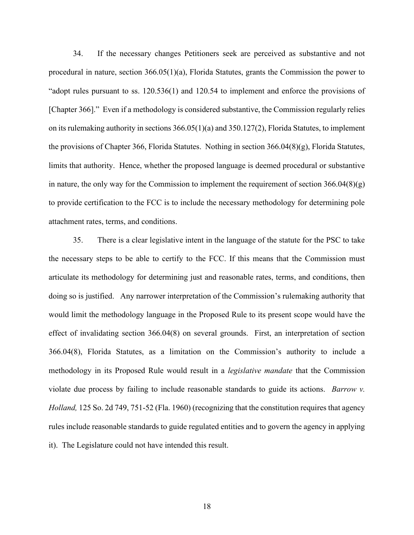34. If the necessary changes Petitioners seek are perceived as substantive and not procedural in nature, section  $366.05(1)(a)$ , Florida Statutes, grants the Commission the power to "adopt rules pursuant to ss. 120.536(1) and 120.54 to implement and enforce the provisions of [Chapter 366]." Even if a methodology is considered substantive, the Commission regularly relies on its rulemaking authority in sections  $366.05(1)(a)$  and  $350.127(2)$ , Florida Statutes, to implement the provisions of Chapter 366, Florida Statutes. Nothing in section 366.04(8)(g), Florida Statutes, limits that authority. Hence, whether the proposed language is deemed procedural or substantive in nature, the only way for the Commission to implement the requirement of section  $366.04(8)(g)$ to provide certification to the FCC is to include the necessary methodology for determining pole attachment rates, terms, and conditions.

35. There is a clear legislative intent in the language of the statute for the PSC to take the necessary steps to be able to certify to the FCC. If this means that the Commission must articulate its methodology for determining just and reasonable rates, terms, and conditions, then doing so is justified. Any narrower interpretation of the Commission's rulemaking authority that would limit the methodology language in the Proposed Rule to its present scope would have the effect of invalidating section 366.04(8) on several grounds. First, an interpretation of section 366.04(8), Florida Statutes, as a limitation on the Commission's authority to include a methodology in its Proposed Rule would result in a *legislative mandate* that the Commission violate due process by failing to include reasonable standards to guide its actions. *Barrow v. Holland,* 125 So. 2d 749, 751-52 (Fla. 1960) (recognizing that the constitution requires that agency rules include reasonable standards to guide regulated entities and to govern the agency in applying it). The Legislature could not have intended this result.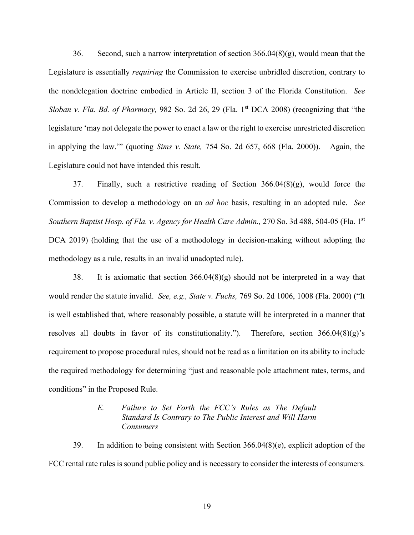36. Second, such a narrow interpretation of section  $366.04(8)(g)$ , would mean that the Legislature is essentially *requiring* the Commission to exercise unbridled discretion, contrary to the nondelegation doctrine embodied in Article II, section 3 of the Florida Constitution. *See Sloban v. Fla. Bd. of Pharmacy,* 982 So. 2d 26, 29 (Fla. 1<sup>st</sup> DCA 2008) (recognizing that "the legislature 'may not delegate the power to enact a law or the right to exercise unrestricted discretion in applying the law.'" (quoting *Sims v. State,* 754 So. 2d 657, 668 (Fla. 2000)). Again, the Legislature could not have intended this result.

37. Finally, such a restrictive reading of Section 366.04(8)(g), would force the Commission to develop a methodology on an *ad hoc* basis, resulting in an adopted rule. *See Southern Baptist Hosp. of Fla. v. Agency for Health Care Admin.,* 270 So. 3d 488, 504-05 (Fla. 1st DCA 2019) (holding that the use of a methodology in decision-making without adopting the methodology as a rule, results in an invalid unadopted rule).

38. It is axiomatic that section  $366.04(8)(g)$  should not be interpreted in a way that would render the statute invalid. *See, e.g., State v. Fuchs,* 769 So. 2d 1006, 1008 (Fla. 2000) ("It is well established that, where reasonably possible, a statute will be interpreted in a manner that resolves all doubts in favor of its constitutionality."). Therefore, section  $366.04(8)(g)$ 's requirement to propose procedural rules, should not be read as a limitation on its ability to include the required methodology for determining "just and reasonable pole attachment rates, terms, and conditions" in the Proposed Rule.

## *E. Failure to Set Forth the FCC's Rules as The Default Standard Is Contrary to The Public Interest and Will Harm Consumers*

39. In addition to being consistent with Section 366.04(8)(e), explicit adoption of the FCC rental rate rules is sound public policy and is necessary to consider the interests of consumers.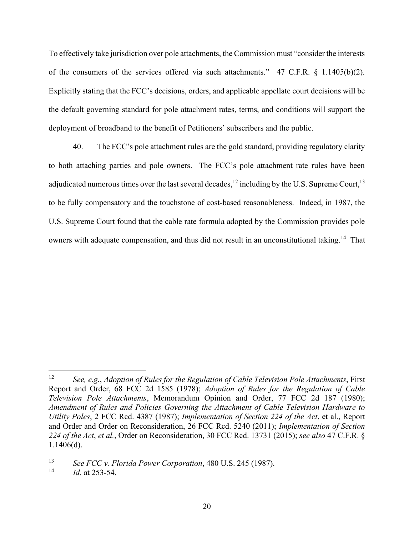To effectively take jurisdiction over pole attachments, the Commission must "consider the interests of the consumers of the services offered via such attachments." 47 C.F.R. § 1.1405(b)(2). Explicitly stating that the FCC's decisions, orders, and applicable appellate court decisions will be the default governing standard for pole attachment rates, terms, and conditions will support the deployment of broadband to the benefit of Petitioners' subscribers and the public.

40. The FCC's pole attachment rules are the gold standard, providing regulatory clarity to both attaching parties and pole owners. The FCC's pole attachment rate rules have been adjudicated numerous times over the last several decades,<sup>12</sup> including by the U.S. Supreme Court,<sup>13</sup> to be fully compensatory and the touchstone of cost-based reasonableness. Indeed, in 1987, the U.S. Supreme Court found that the cable rate formula adopted by the Commission provides pole owners with adequate compensation, and thus did not result in an unconstitutional taking.<sup>14</sup> That

<sup>12</sup> *See, e.g.*, *Adoption of Rules for the Regulation of Cable Television Pole Attachments*, First Report and Order, 68 FCC 2d 1585 (1978); *Adoption of Rules for the Regulation of Cable Television Pole Attachments*, Memorandum Opinion and Order, 77 FCC 2d 187 (1980); *Amendment of Rules and Policies Governing the Attachment of Cable Television Hardware to Utility Poles*, 2 FCC Rcd. 4387 (1987); *Implementation of Section 224 of the Act*, et al., Report and Order and Order on Reconsideration, 26 FCC Rcd. 5240 (2011); *Implementation of Section 224 of the Act*, *et al.*, Order on Reconsideration, 30 FCC Rcd. 13731 (2015); *see also* 47 C.F.R. § 1.1406(d).

<sup>13</sup> *See FCC v. Florida Power Corporation*, 480 U.S. 245 (1987).

<sup>14</sup> *Id.* at 253-54.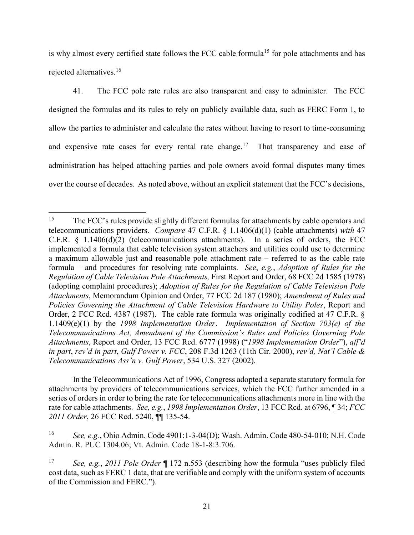is why almost every certified state follows the FCC cable formula<sup>15</sup> for pole attachments and has rejected alternatives.<sup>16</sup>

41. The FCC pole rate rules are also transparent and easy to administer. The FCC designed the formulas and its rules to rely on publicly available data, such as FERC Form 1, to allow the parties to administer and calculate the rates without having to resort to time-consuming and expensive rate cases for every rental rate change.<sup>17</sup> That transparency and ease of administration has helped attaching parties and pole owners avoid formal disputes many times over the course of decades. As noted above, without an explicit statement that the FCC's decisions,

In the Telecommunications Act of 1996, Congress adopted a separate statutory formula for attachments by providers of telecommunications services, which the FCC further amended in a series of orders in order to bring the rate for telecommunications attachments more in line with the rate for cable attachments. *See, e.g.*, *1998 Implementation Order*, 13 FCC Rcd. at 6796, ¶ 34; *FCC 2011 Order*, 26 FCC Rcd. 5240, ¶¶ 135-54.

<sup>16</sup> *See, e.g.*, Ohio Admin. Code 4901:1-3-04(D); Wash. Admin. Code 480-54-010; N.H. Code Admin. R. PUC 1304.06; Vt. Admin. Code 18-1-8:3.706.

<sup>&</sup>lt;sup>15</sup> The FCC's rules provide slightly different formulas for attachments by cable operators and telecommunications providers. *Compare* 47 C.F.R. § 1.1406(d)(1) (cable attachments) *with* 47 C.F.R.  $\S$  1.1406(d)(2) (telecommunications attachments). In a series of orders, the FCC implemented a formula that cable television system attachers and utilities could use to determine a maximum allowable just and reasonable pole attachment rate – referred to as the cable rate formula – and procedures for resolving rate complaints. *See*, *e.g.*, *Adoption of Rules for the Regulation of Cable Television Pole Attachments,* First Report and Order, 68 FCC 2d 1585 (1978) (adopting complaint procedures); *Adoption of Rules for the Regulation of Cable Television Pole Attachments*, Memorandum Opinion and Order, 77 FCC 2d 187 (1980); *Amendment of Rules and Policies Governing the Attachment of Cable Television Hardware to Utility Poles*, Report and Order, 2 FCC Rcd. 4387 (1987). The cable rate formula was originally codified at 47 C.F.R. § 1.1409(e)(1) by the *1998 Implementation Order*. *Implementation of Section 703(e) of the Telecommunications Act, Amendment of the Commission's Rules and Policies Governing Pole Attachments*, Report and Order, 13 FCC Rcd. 6777 (1998) ("*1998 Implementation Order*"), *aff'd in part*, *rev'd in part*, *Gulf Power v. FCC*, 208 F.3d 1263 (11th Cir. 2000), *rev'd, Nat'l Cable & Telecommunications Ass'n v. Gulf Power*, 534 U.S. 327 (2002).

<sup>17</sup> *See, e.g.*, *2011 Pole Order* ¶ 172 n.553 (describing how the formula "uses publicly filed cost data, such as FERC 1 data, that are verifiable and comply with the uniform system of accounts of the Commission and FERC.").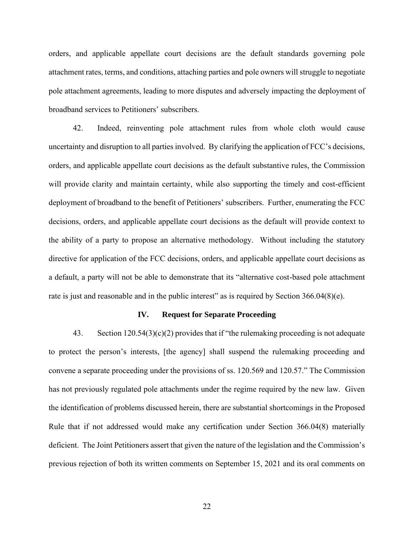orders, and applicable appellate court decisions are the default standards governing pole attachment rates, terms, and conditions, attaching parties and pole owners will struggle to negotiate pole attachment agreements, leading to more disputes and adversely impacting the deployment of broadband services to Petitioners' subscribers.

42. Indeed, reinventing pole attachment rules from whole cloth would cause uncertainty and disruption to all parties involved. By clarifying the application of FCC's decisions, orders, and applicable appellate court decisions as the default substantive rules, the Commission will provide clarity and maintain certainty, while also supporting the timely and cost-efficient deployment of broadband to the benefit of Petitioners' subscribers. Further, enumerating the FCC decisions, orders, and applicable appellate court decisions as the default will provide context to the ability of a party to propose an alternative methodology. Without including the statutory directive for application of the FCC decisions, orders, and applicable appellate court decisions as a default, a party will not be able to demonstrate that its "alternative cost-based pole attachment rate is just and reasonable and in the public interest" as is required by Section 366.04(8)(e).

#### **IV. Request for Separate Proceeding**

43. Section 120.54(3)(c)(2) provides that if "the rulemaking proceeding is not adequate to protect the person's interests, [the agency] shall suspend the rulemaking proceeding and convene a separate proceeding under the provisions of ss. 120.569 and 120.57." The Commission has not previously regulated pole attachments under the regime required by the new law. Given the identification of problems discussed herein, there are substantial shortcomings in the Proposed Rule that if not addressed would make any certification under Section 366.04(8) materially deficient. The Joint Petitioners assert that given the nature of the legislation and the Commission's previous rejection of both its written comments on September 15, 2021 and its oral comments on

22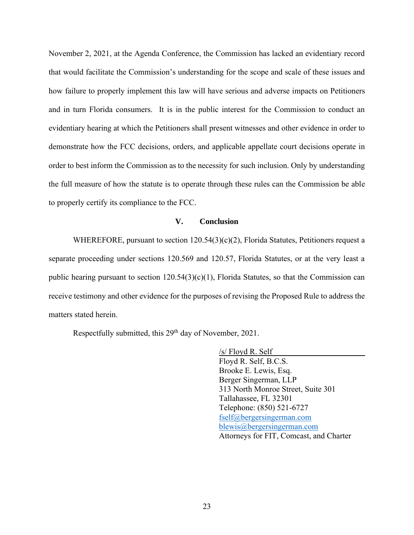November 2, 2021, at the Agenda Conference, the Commission has lacked an evidentiary record that would facilitate the Commission's understanding for the scope and scale of these issues and how failure to properly implement this law will have serious and adverse impacts on Petitioners and in turn Florida consumers. It is in the public interest for the Commission to conduct an evidentiary hearing at which the Petitioners shall present witnesses and other evidence in order to demonstrate how the FCC decisions, orders, and applicable appellate court decisions operate in order to best inform the Commission as to the necessity for such inclusion. Only by understanding the full measure of how the statute is to operate through these rules can the Commission be able to properly certify its compliance to the FCC.

### **V. Conclusion**

WHEREFORE, pursuant to section  $120.54(3)(c)(2)$ , Florida Statutes, Petitioners request a separate proceeding under sections 120.569 and 120.57, Florida Statutes, or at the very least a public hearing pursuant to section  $120.54(3)(c)(1)$ , Florida Statutes, so that the Commission can receive testimony and other evidence for the purposes of revising the Proposed Rule to address the matters stated herein.

Respectfully submitted, this  $29<sup>th</sup>$  day of November, 2021.

/s/ Floyd R. Self Floyd R. Self, B.C.S. Brooke E. Lewis, Esq. Berger Singerman, LLP 313 North Monroe Street, Suite 301 Tallahassee, FL 32301 Telephone: (850) 521-6727 [fself@bergersingerman.com](mailto:fself@bergersingerman.com) [blewis@bergersingerman.com](mailto:blewis@bergersingerman.com) Attorneys for FIT, Comcast, and Charter